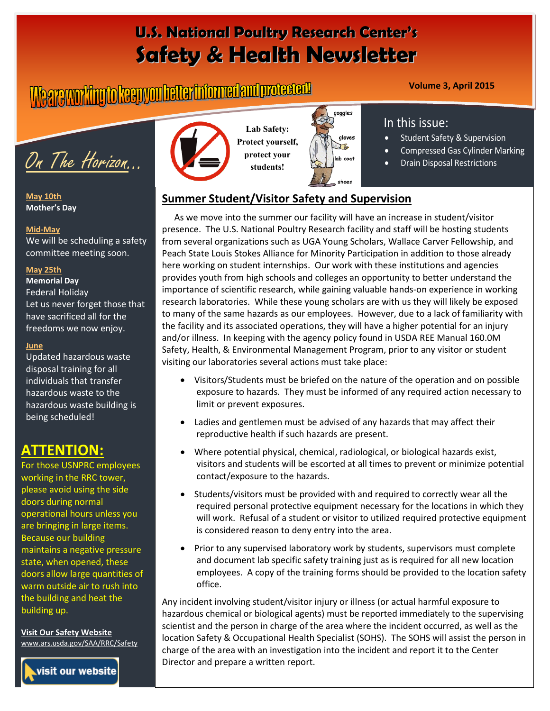# **U.S. National Poultry Research Center's Safety & Health Newsletter**

# **Volume 3, April 2015**

On The Horizon…

**May 10th Mother's Day**

#### **Mid-May**

We will be scheduling a safety committee meeting soon.

#### **May 25th**

**Memorial Day** Federal Holiday Let us never forget those that have sacrificed all for the freedoms we now enjoy.

#### **June**

Updated hazardous waste disposal training for all individuals that transfer hazardous waste to the hazardous waste building is being scheduled!

# **ATTENTION:**

For those USNPRC employees working in the RRC tower, please avoid using the side doors during normal operational hours unless you are bringing in large items. Because our building maintains a negative pressure state, when opened, these doors allow large quantities of warm outside air to rush into the building and heat the building up.

**Visit Our Safety Website**  [www.ars.usda.gov/SAA/RRC/Safety](http://www.ars.usda.gov/SAA/RRC/Safety)





**Lab Safety: Protect yourself, protect your students!**



## In this issue:

- Student Safety & Supervision
- Compressed Gas Cylinder Marking
- Drain Disposal Restrictions

## **Summer Student/Visitor Safety and Supervision**

 As we move into the summer our facility will have an increase in student/visitor presence. The U.S. National Poultry Research facility and staff will be hosting students from several organizations such as UGA Young Scholars, Wallace Carver Fellowship, and Peach State Louis Stokes Alliance for Minority Participation in addition to those already here working on student internships. Our work with these institutions and agencies provides youth from high schools and colleges an opportunity to better understand the importance of scientific research, while gaining valuable hands-on experience in working research laboratories. While these young scholars are with us they will likely be exposed to many of the same hazards as our employees. However, due to a lack of familiarity with the facility and its associated operations, they will have a higher potential for an injury and/or illness. In keeping with the agency policy found in USDA REE Manual 160.0M Safety, Health, & Environmental Management Program, prior to any visitor or student visiting our laboratories several actions must take place:

- Visitors/Students must be briefed on the nature of the operation and on possible exposure to hazards. They must be informed of any required action necessary to limit or prevent exposures.
- Ladies and gentlemen must be advised of any hazards that may affect their reproductive health if such hazards are present.
- Where potential physical, chemical, radiological, or biological hazards exist, visitors and students will be escorted at all times to prevent or minimize potential contact/exposure to the hazards.
- Students/visitors must be provided with and required to correctly wear all the required personal protective equipment necessary for the locations in which they will work. Refusal of a student or visitor to utilized required protective equipment is considered reason to deny entry into the area.
- Prior to any supervised laboratory work by students, supervisors must complete and document lab specific safety training just as is required for all new location employees. A copy of the training forms should be provided to the location safety office.

Any incident involving student/visitor injury or illness (or actual harmful exposure to hazardous chemical or biological agents) must be reported immediately to the supervising scientist and the person in charge of the area where the incident occurred, as well as the location Safety & Occupational Health Specialist (SOHS). The SOHS will assist the person in charge of the area with an investigation into the incident and report it to the Center Director and prepare a written report.